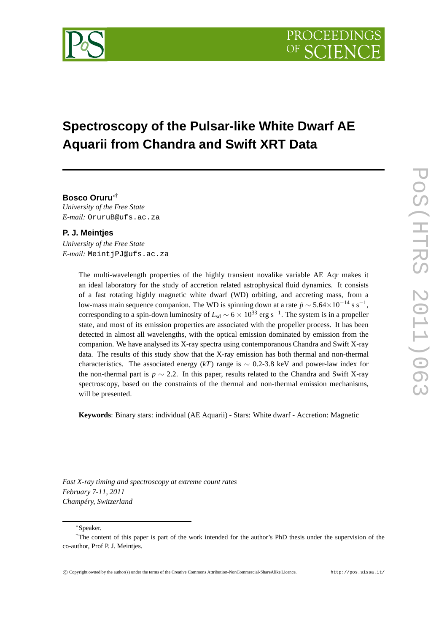

# **Spectroscopy of the Pulsar-like White Dwarf AE Aquarii from Chandra and Swift XRT Data**

# **Bosco Oruru**∗†

*University of the Free State E-mail:* OruruB@ufs.ac.za

### **P. J. Meintjes**

*University of the Free State E-mail:* MeintjPJ@ufs.ac.za

> The multi-wavelength properties of the highly transient novalike variable AE Aqr makes it an ideal laboratory for the study of accretion related astrophysical fluid dynamics. It consists of a fast rotating highly magnetic white dwarf (WD) orbiting, and accreting mass, from a low-mass main sequence companion. The WD is spinning down at a rate  $\dot{p} \sim 5.64 \times 10^{-14}$  s s<sup>-1</sup>, corresponding to a spin-down luminosity of  $L_{sd} \sim 6 \times 10^{33}$  erg s<sup>-1</sup>. The system is in a propeller state, and most of its emission properties are associated with the propeller process. It has been detected in almost all wavelengths, with the optical emission dominated by emission from the companion. We have analysed its X-ray spectra using contemporanous Chandra and Swift X-ray data. The results of this study show that the X-ray emission has both thermal and non-thermal characteristics. The associated energy  $(kT)$  range is  $\sim 0.2$ -3.8 keV and power-law index for the non-thermal part is  $p \sim 2.2$ . In this paper, results related to the Chandra and Swift X-ray spectroscopy, based on the constraints of the thermal and non-thermal emission mechanisms, will be presented.

**Keywords**: Binary stars: individual (AE Aquarii) - Stars: White dwarf - Accretion: Magnetic

*Fast X-ray timing and spectroscopy at extreme count rates February 7-11, 2011 Champéry, Switzerland*

<sup>∗</sup>Speaker.

<sup>†</sup>The content of this paper is part of the work intended for the author's PhD thesis under the supervision of the co-author, Prof P. J. Meintjes.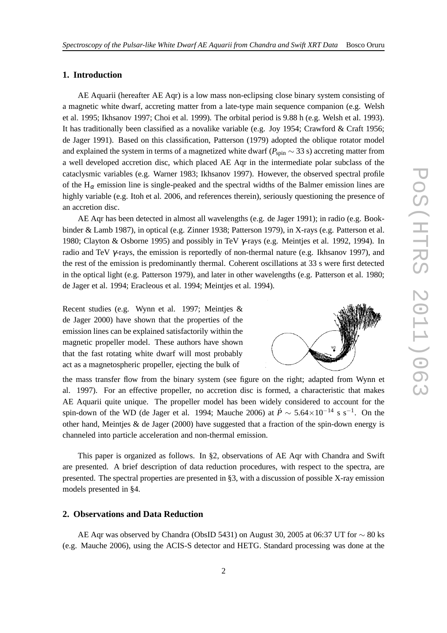# **1. Introduction**

AE Aquarii (hereafter AE Aqr) is a low mass non-eclipsing close binary system consisting of a magnetic white dwarf, accreting matter from a late-type main sequence companion (e.g. Welsh et al. 1995; Ikhsanov 1997; Choi et al. 1999). The orbital period is 9.88 h (e.g. Welsh et al. 1993). It has traditionally been classified as a novalike variable (e.g. Joy 1954; Crawford & Craft 1956; de Jager 1991). Based on this classification, Patterson (1979) adopted the oblique rotator model and explained the system in terms of a magnetized white dwarf ( $P_{spin} \sim 33$  s) accreting matter from a well developed accretion disc, which placed AE Aqr in the intermediate polar subclass of the cataclysmic variables (e.g. Warner 1983; Ikhsanov 1997). However, the observed spectral profile of the  $H_{\alpha}$  emission line is single-peaked and the spectral widths of the Balmer emission lines are highly variable (e.g. Itoh et al. 2006, and references therein), seriously questioning the presence of an accretion disc.

AE Aqr has been detected in almost all wavelengths (e.g. de Jager 1991); in radio (e.g. Bookbinder & Lamb 1987), in optical (e.g. Zinner 1938; Patterson 1979), in X-rays (e.g. Patterson et al. 1980; Clayton & Osborne 1995) and possibly in TeV γ-rays (e.g. Meintjes et al. 1992, 1994). In radio and TeV  $\gamma$ -rays, the emission is reportedly of non-thermal nature (e.g. Ikhsanov 1997), and the rest of the emission is predominantly thermal. Coherent oscillations at 33 s were first detected in the optical light (e.g. Patterson 1979), and later in other wavelengths (e.g. Patterson et al. 1980; de Jager et al. 1994; Eracleous et al. 1994; Meintjes et al. 1994).

Recent studies (e.g. Wynn et al. 1997; Meintjes & de Jager 2000) have shown that the properties of the emission lines can be explained satisfactorily within the magnetic propeller model. These authors have shown that the fast rotating white dwarf will most probably act as a magnetospheric propeller, ejecting the bulk of

the mass transfer flow from the binary system (see figure on the right; adapted from Wynn et al. 1997). For an effective propeller, no accretion disc is formed, a characteristic that makes AE Aquarii quite unique. The propeller model has been widely considered to account for the spin-down of the WD (de Jager et al. 1994; Mauche 2006) at  $\dot{P} \sim 5.64 \times 10^{-14}$  s s<sup>-1</sup>. On the other hand, Meintjes & de Jager (2000) have suggested that a fraction of the spin-down energy is channeled into particle acceleration and non-thermal emission.

This paper is organized as follows. In §2, observations of AE Aqr with Chandra and Swift are presented. A brief description of data reduction procedures, with respect to the spectra, are presented. The spectral properties are presented in §3, with a discussion of possible X-ray emission models presented in §4.

## **2. Observations and Data Reduction**

AE Aqr was observed by Chandra (ObsID 5431) on August 30, 2005 at 06:37 UT for ∼ 80 ks (e.g. Mauche 2006), using the ACIS-S detector and HETG. Standard processing was done at the

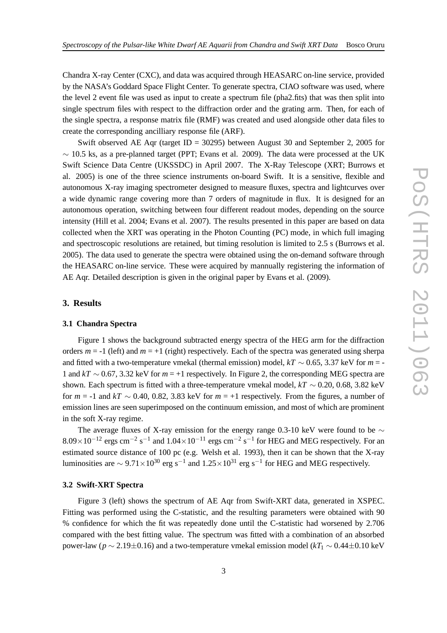Chandra X-ray Center (CXC), and data was acquired through HEASARC on-line service, provided by the NASA's Goddard Space Flight Center. To generate spectra, CIAO software was used, where the level 2 event file was used as input to create a spectrum file (pha2.fits) that was then split into single spectrum files with respect to the diffraction order and the grating arm. Then, for each of the single spectra, a response matrix file (RMF) was created and used alongside other data files to create the corresponding ancilliary response file (ARF).

Swift observed AE Aqr (target ID = 30295) between August 30 and September 2, 2005 for  $\sim$  10.5 ks, as a pre-planned target (PPT; Evans et al. 2009). The data were processed at the UK Swift Science Data Centre (UKSSDC) in April 2007. The X-Ray Telescope (XRT; Burrows et al. 2005) is one of the three science instruments on-board Swift. It is a sensitive, flexible and autonomous X-ray imaging spectrometer designed to measure fluxes, spectra and lightcurves over a wide dynamic range covering more than 7 orders of magnitude in flux. It is designed for an autonomous operation, switching between four different readout modes, depending on the source intensity (Hill et al. 2004; Evans et al. 2007). The results presented in this paper are based on data collected when the XRT was operating in the Photon Counting (PC) mode, in which full imaging and spectroscopic resolutions are retained, but timing resolution is limited to 2.5 s (Burrows et al. 2005). The data used to generate the spectra were obtained using the on-demand software through the HEASARC on-line service. These were acquired by mannually registering the information of AE Aqr. Detailed description is given in the original paper by Evans et al. (2009).

## **3. Results**

#### **3.1 Chandra Spectra**

Figure 1 shows the background subtracted energy spectra of the HEG arm for the diffraction orders  $m = -1$  (left) and  $m = +1$  (right) respectively. Each of the spectra was generated using sherpa and fitted with a two-temperature vmekal (thermal emission) model,  $kT \sim 0.65$ , 3.37 keV for  $m = -1$ 1 and *kT* ∼ 0.67, 3.32 keV for *m* = +1 respectively. In Figure 2, the corresponding MEG spectra are shown. Each spectrum is fitted with a three-temperature vmekal model,  $kT \sim 0.20, 0.68, 3.82$  keV for  $m = -1$  and  $kT \sim 0.40, 0.82, 3.83$  keV for  $m = +1$  respectively. From the figures, a number of emission lines are seen superimposed on the continuum emission, and most of which are prominent in the soft X-ray regime.

The average fluxes of X-ray emission for the energy range 0.3-10 keV were found to be  $\sim$  $8.09 \times 10^{-12}$  ergs cm<sup>-2</sup> s<sup>-1</sup> and  $1.04 \times 10^{-11}$  ergs cm<sup>-2</sup> s<sup>-1</sup> for HEG and MEG respectively. For an estimated source distance of 100 pc (e.g. Welsh et al. 1993), then it can be shown that the X-ray luminosities are  $\sim 9.71 \times 10^{30}$  erg s<sup>-1</sup> and  $1.25 \times 10^{31}$  erg s<sup>-1</sup> for HEG and MEG respectively.

#### **3.2 Swift-XRT Spectra**

Figure 3 (left) shows the spectrum of AE Aqr from Swift-XRT data, generated in XSPEC. Fitting was performed using the C-statistic, and the resulting parameters were obtained with 90 % confidence for which the fit was repeatedly done until the C-statistic had worsened by 2.706 compared with the best fitting value. The spectrum was fitted with a combination of an absorbed power-law ( $p \sim 2.19 \pm 0.16$ ) and a two-temperature vmekal emission model ( $kT_1 \sim 0.44 \pm 0.10$  keV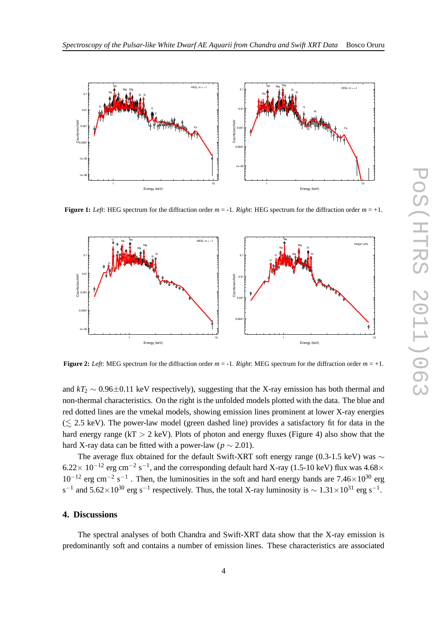

**Figure 1:** *Left*: HEG spectrum for the diffraction order  $m = -1$ . *Right*: HEG spectrum for the diffraction order  $m = +1$ .



**Figure 2:** *Left*: MEG spectrum for the diffraction order  $m = -1$ . *Right*: MEG spectrum for the diffraction order  $m = +1$ .

and  $kT_2 \sim 0.96 \pm 0.11$  keV respectively), suggesting that the X-ray emission has both thermal and non-thermal characteristics. On the right is the unfolded models plotted with the data. The blue and red dotted lines are the vmekal models, showing emission lines prominent at lower X-ray energies  $(\leq 2.5 \text{ keV})$ . The power-law model (green dashed line) provides a satisfactory fit for data in the hard energy range ( $kT > 2$  keV). Plots of photon and energy fluxes (Figure 4) also show that the hard X-ray data can be fitted with a power-law ( $p \sim 2.01$ ).

The average flux obtained for the default Swift-XRT soft energy range (0.3-1.5 keV) was ∼  $6.22 \times 10^{-12}$  erg cm<sup>-2</sup> s<sup>-1</sup>, and the corresponding default hard X-ray (1.5-10 keV) flux was 4.68×  $10^{-12}$  erg cm<sup>-2</sup> s<sup>-1</sup>. Then, the luminosities in the soft and hard energy bands are 7.46×10<sup>30</sup> erg s<sup>-1</sup> and 5.62×10<sup>30</sup> erg s<sup>-1</sup> respectively. Thus, the total X-ray luminosity is  $\sim 1.31 \times 10^{31}$  erg s<sup>-1</sup>.

#### **4. Discussions**

The spectral analyses of both Chandra and Swift-XRT data show that the X-ray emission is predominantly soft and contains a number of emission lines. These characteristics are associated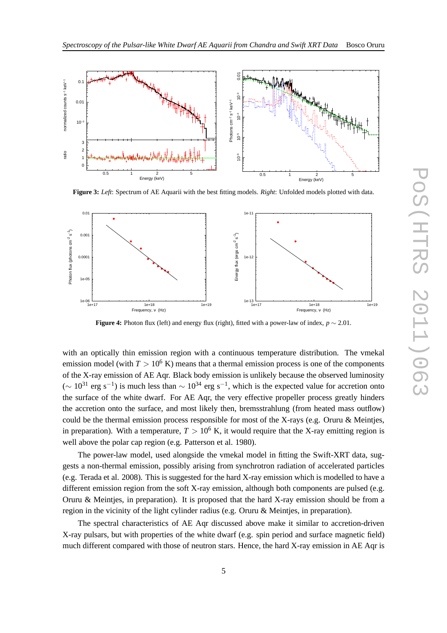

**Figure 3:** *Left*: Spectrum of AE Aquarii with the best fitting models. *Right*: Unfolded models plotted with data.



**Figure 4:** Photon flux (left) and energy flux (right), fitted with a power-law of index, *p* ∼ 2.01.

with an optically thin emission region with a continuous temperature distribution. The vmekal emission model (with  $T > 10^6$  K) means that a thermal emission process is one of the components of the X-ray emission of AE Aqr. Black body emission is unlikely because the observed luminosity  $($  ~  $10^{31}$  erg s<sup>-1</sup>) is much less than  $\sim 10^{34}$  erg s<sup>-1</sup>, which is the expected value for accretion onto the surface of the white dwarf. For AE Aqr, the very effective propeller process greatly hinders the accretion onto the surface, and most likely then, bremsstrahlung (from heated mass outflow) could be the thermal emission process responsible for most of the X-rays (e.g. Oruru & Meintjes, in preparation). With a temperature,  $T > 10^6$  K, it would require that the X-ray emitting region is well above the polar cap region (e.g. Patterson et al. 1980).

The power-law model, used alongside the vmekal model in fitting the Swift-XRT data, suggests a non-thermal emission, possibly arising from synchrotron radiation of accelerated particles (e.g. Terada et al. 2008). This is suggested for the hard X-ray emission which is modelled to have a different emission region from the soft X-ray emission, although both components are pulsed (e.g. Oruru & Meinties, in preparation). It is proposed that the hard X-ray emission should be from a region in the vicinity of the light cylinder radius (e.g. Oruru & Meintjes, in preparation).

The spectral characteristics of AE Aqr discussed above make it similar to accretion-driven X-ray pulsars, but with properties of the white dwarf (e.g. spin period and surface magnetic field) much different compared with those of neutron stars. Hence, the hard X-ray emission in AE Aqr is